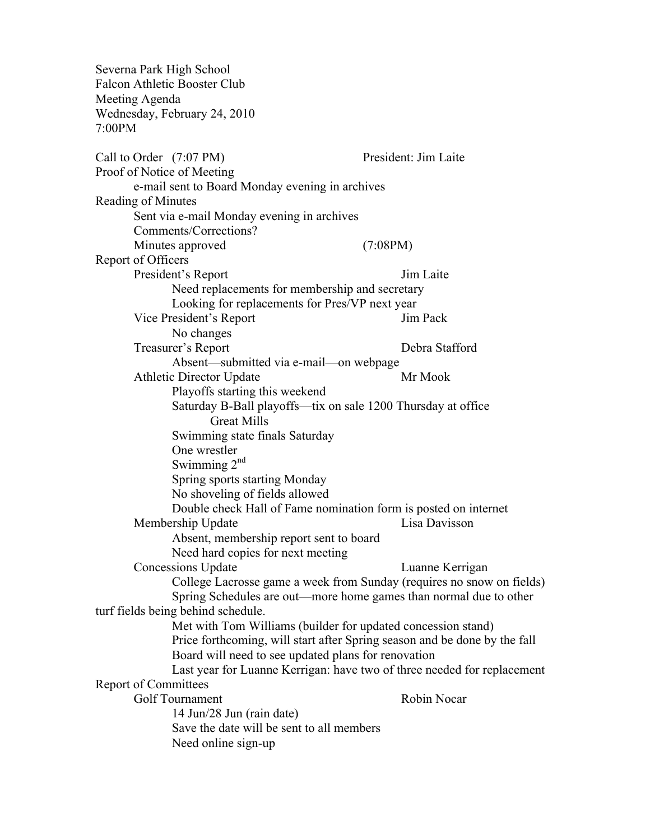| Severna Park High School                                                                       |                                                                         |
|------------------------------------------------------------------------------------------------|-------------------------------------------------------------------------|
| <b>Falcon Athletic Booster Club</b>                                                            |                                                                         |
| Meeting Agenda                                                                                 |                                                                         |
| Wednesday, February 24, 2010<br>7:00PM                                                         |                                                                         |
|                                                                                                |                                                                         |
| Call to Order (7:07 PM)                                                                        | President: Jim Laite                                                    |
| Proof of Notice of Meeting                                                                     |                                                                         |
| e-mail sent to Board Monday evening in archives                                                |                                                                         |
| Reading of Minutes                                                                             |                                                                         |
| Sent via e-mail Monday evening in archives                                                     |                                                                         |
| Comments/Corrections?                                                                          |                                                                         |
| Minutes approved                                                                               | (7:08PM)                                                                |
| Report of Officers                                                                             |                                                                         |
| President's Report                                                                             | Jim Laite                                                               |
| Need replacements for membership and secretary                                                 |                                                                         |
| Looking for replacements for Pres/VP next year                                                 |                                                                         |
| Vice President's Report                                                                        | Jim Pack                                                                |
| No changes                                                                                     |                                                                         |
| Treasurer's Report                                                                             | Debra Stafford                                                          |
| Absent—submitted via e-mail—on webpage                                                         | Mr Mook                                                                 |
| <b>Athletic Director Update</b>                                                                |                                                                         |
| Playoffs starting this weekend<br>Saturday B-Ball playoffs—tix on sale 1200 Thursday at office |                                                                         |
| <b>Great Mills</b>                                                                             |                                                                         |
| Swimming state finals Saturday                                                                 |                                                                         |
| One wrestler                                                                                   |                                                                         |
| Swimming $2nd$                                                                                 |                                                                         |
| Spring sports starting Monday                                                                  |                                                                         |
| No shoveling of fields allowed                                                                 |                                                                         |
| Double check Hall of Fame nomination form is posted on internet                                |                                                                         |
| Membership Update                                                                              | Lisa Davisson                                                           |
| Absent, membership report sent to board                                                        |                                                                         |
| Need hard copies for next meeting                                                              |                                                                         |
| <b>Concessions Update</b>                                                                      | Luanne Kerrigan                                                         |
|                                                                                                | College Lacrosse game a week from Sunday (requires no snow on fields)   |
| Spring Schedules are out—more home games than normal due to other                              |                                                                         |
| turf fields being behind schedule.                                                             |                                                                         |
| Met with Tom Williams (builder for updated concession stand)                                   |                                                                         |
| Price forthcoming, will start after Spring season and be done by the fall                      |                                                                         |
| Board will need to see updated plans for renovation                                            |                                                                         |
|                                                                                                | Last year for Luanne Kerrigan: have two of three needed for replacement |
| <b>Report of Committees</b>                                                                    |                                                                         |
| Golf Tournament                                                                                | Robin Nocar                                                             |
| 14 Jun/28 Jun (rain date)                                                                      |                                                                         |
| Save the date will be sent to all members                                                      |                                                                         |
| Need online sign-up                                                                            |                                                                         |